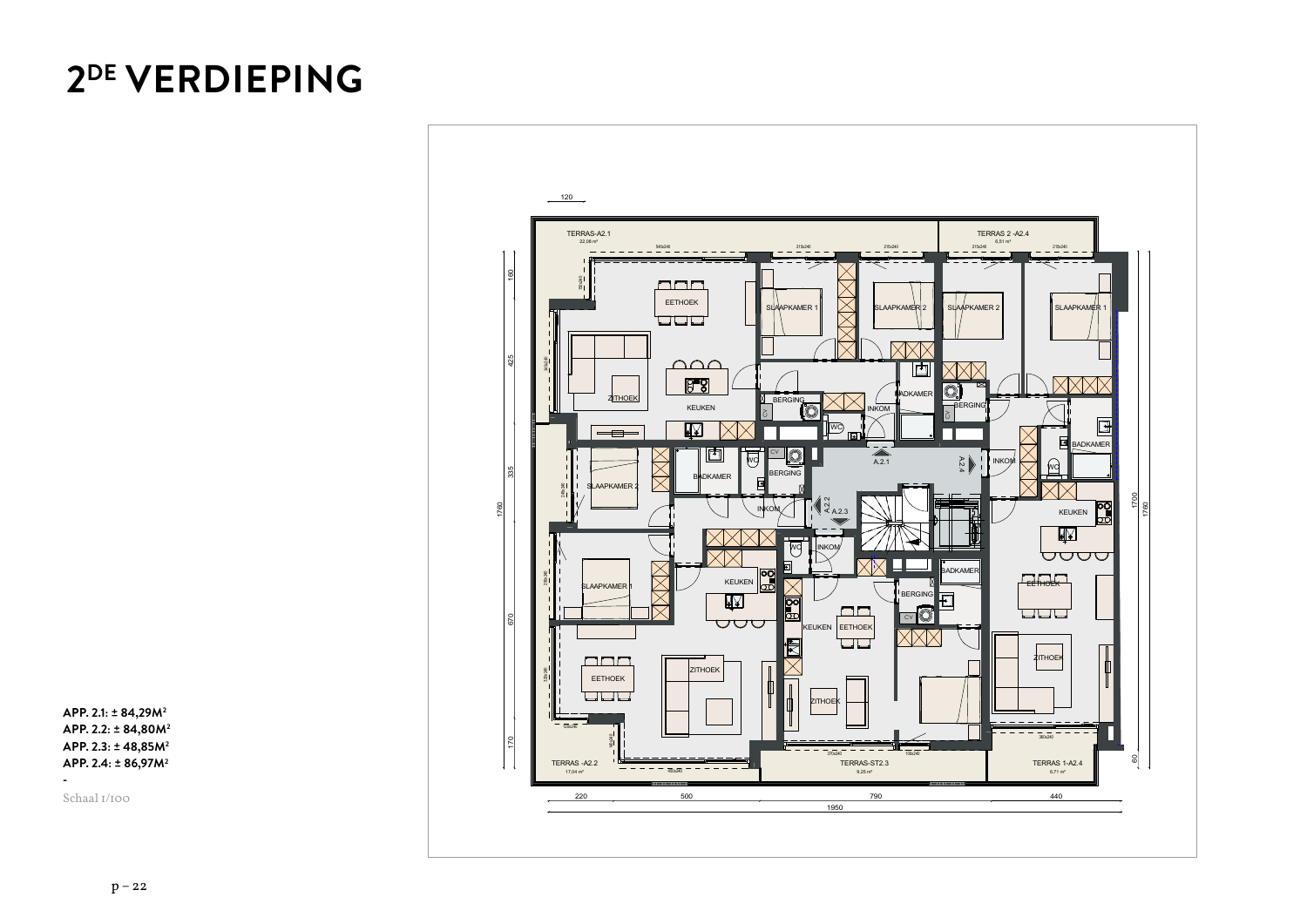## **2DE VERDIEPING**

**APP. 2.1: ± 84,29M2 APP. 2.2: ± 84,80M2 APP. 2.3: ± 48,85M2 APP. 2.4: ± 86,97M2**

Schaal 1/100



Schaal 1:150